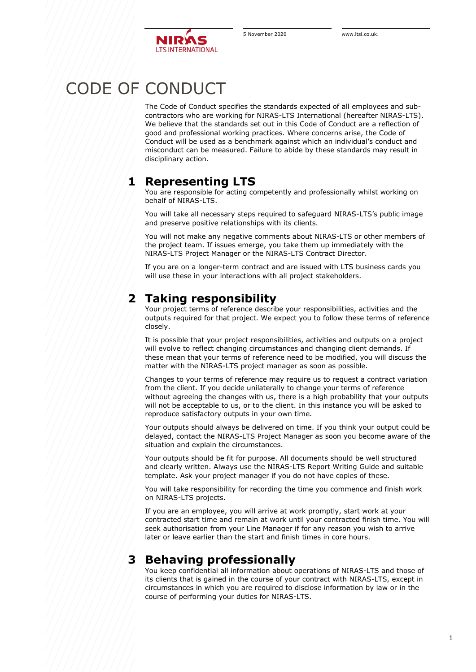

# CODE OF CONDUCT

The Code of Conduct specifies the standards expected of all employees and subcontractors who are working for NIRAS-LTS International (hereafter NIRAS-LTS). We believe that the standards set out in this Code of Conduct are a reflection of good and professional working practices. Where concerns arise, the Code of Conduct will be used as a benchmark against which an individual's conduct and misconduct can be measured. Failure to abide by these standards may result in disciplinary action.

## **1 Representing LTS**

You are responsible for acting competently and professionally whilst working on behalf of NIRAS-LTS.

You will take all necessary steps required to safeguard NIRAS-LTS's public image and preserve positive relationships with its clients.

You will not make any negative comments about NIRAS-LTS or other members of the project team. If issues emerge, you take them up immediately with the NIRAS-LTS Project Manager or the NIRAS-LTS Contract Director.

If you are on a longer-term contract and are issued with LTS business cards you will use these in your interactions with all project stakeholders.

## **2 Taking responsibility**

Your project terms of reference describe your responsibilities, activities and the outputs required for that project. We expect you to follow these terms of reference closely.

It is possible that your project responsibilities, activities and outputs on a project will evolve to reflect changing circumstances and changing client demands. If these mean that your terms of reference need to be modified, you will discuss the matter with the NIRAS-LTS project manager as soon as possible.

Changes to your terms of reference may require us to request a contract variation from the client. If you decide unilaterally to change your terms of reference without agreeing the changes with us, there is a high probability that your outputs will not be acceptable to us, or to the client. In this instance you will be asked to reproduce satisfactory outputs in your own time.

Your outputs should always be delivered on time. If you think your output could be delayed, contact the NIRAS-LTS Project Manager as soon you become aware of the situation and explain the circumstances.

Your outputs should be fit for purpose. All documents should be well structured and clearly written. Always use the NIRAS-LTS Report Writing Guide and suitable template. Ask your project manager if you do not have copies of these.

You will take responsibility for recording the time you commence and finish work on NIRAS-LTS projects.

If you are an employee, you will arrive at work promptly, start work at your contracted start time and remain at work until your contracted finish time. You will seek authorisation from your Line Manager if for any reason you wish to arrive later or leave earlier than the start and finish times in core hours.

# **3 Behaving professionally**

You keep confidential all information about operations of NIRAS-LTS and those of its clients that is gained in the course of your contract with NIRAS-LTS, except in circumstances in which you are required to disclose information by law or in the course of performing your duties for NIRAS-LTS.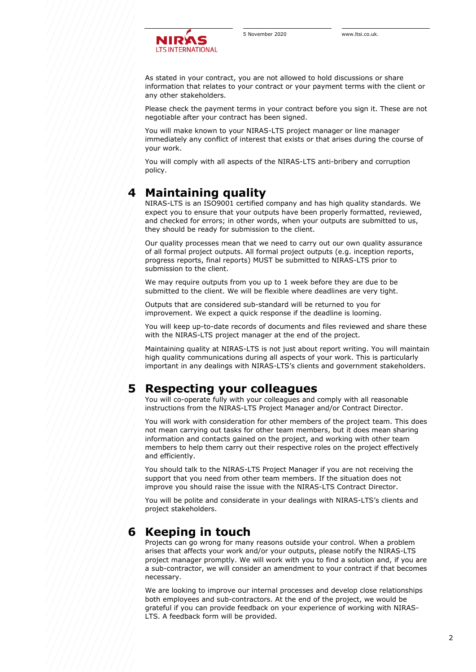

As stated in your contract, you are not allowed to hold discussions or share information that relates to your contract or your payment terms with the client or any other stakeholders.

Please check the payment terms in your contract before you sign it. These are not negotiable after your contract has been signed.

You will make known to your NIRAS-LTS project manager or line manager immediately any conflict of interest that exists or that arises during the course of your work.

You will comply with all aspects of the NIRAS-LTS anti-bribery and corruption policy.

### **4 Maintaining quality**

NIRAS-LTS is an ISO9001 certified company and has high quality standards. We expect you to ensure that your outputs have been properly formatted, reviewed, and checked for errors; in other words, when your outputs are submitted to us, they should be ready for submission to the client.

Our quality processes mean that we need to carry out our own quality assurance of all formal project outputs. All formal project outputs (e.g. inception reports, progress reports, final reports) MUST be submitted to NIRAS-LTS prior to submission to the client.

We may require outputs from you up to 1 week before they are due to be submitted to the client. We will be flexible where deadlines are very tight.

Outputs that are considered sub-standard will be returned to you for improvement. We expect a quick response if the deadline is looming.

You will keep up-to-date records of documents and files reviewed and share these with the NIRAS-LTS project manager at the end of the project.

Maintaining quality at NIRAS-LTS is not just about report writing. You will maintain high quality communications during all aspects of your work. This is particularly important in any dealings with NIRAS-LTS's clients and government stakeholders.

### **5 Respecting your colleagues**

You will co-operate fully with your colleagues and comply with all reasonable instructions from the NIRAS-LTS Project Manager and/or Contract Director.

You will work with consideration for other members of the project team. This does not mean carrying out tasks for other team members, but it does mean sharing information and contacts gained on the project, and working with other team members to help them carry out their respective roles on the project effectively and efficiently.

You should talk to the NIRAS-LTS Project Manager if you are not receiving the support that you need from other team members. If the situation does not improve you should raise the issue with the NIRAS-LTS Contract Director.

You will be polite and considerate in your dealings with NIRAS-LTS's clients and project stakeholders.

## **6 Keeping in touch**

Projects can go wrong for many reasons outside your control. When a problem arises that affects your work and/or your outputs, please notify the NIRAS-LTS project manager promptly. We will work with you to find a solution and, if you are a sub-contractor, we will consider an amendment to your contract if that becomes necessary.

We are looking to improve our internal processes and develop close relationships both employees and sub-contractors. At the end of the project, we would be grateful if you can provide feedback on your experience of working with NIRAS-LTS. A feedback form will be provided.